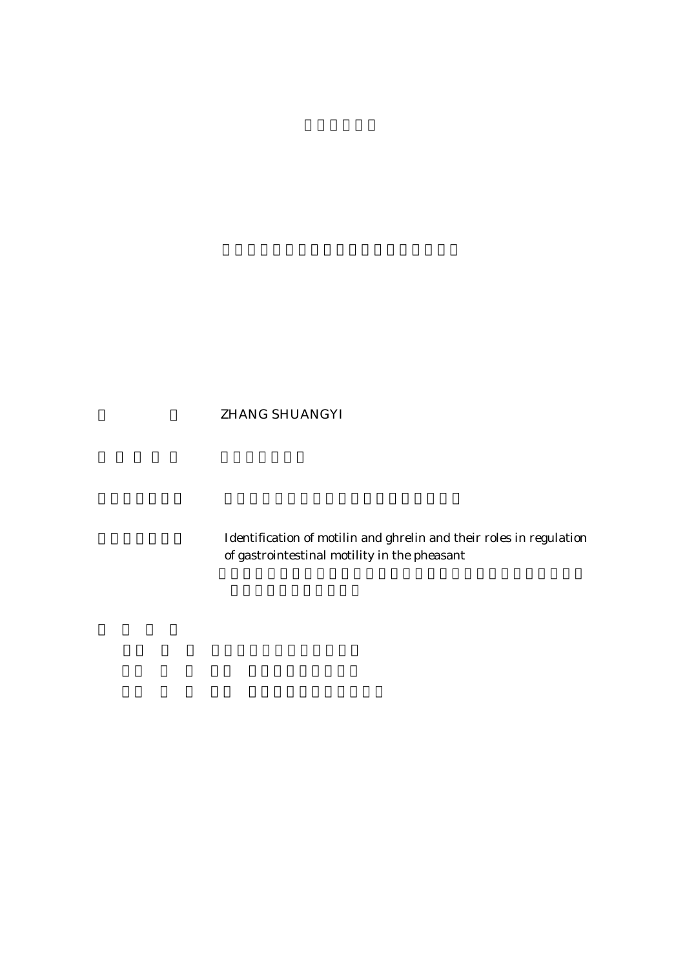## ZHANG SHUANGYI

Identification of motilin and ghrelin and their roles in regulation of gastrointestinal motility in the pheasant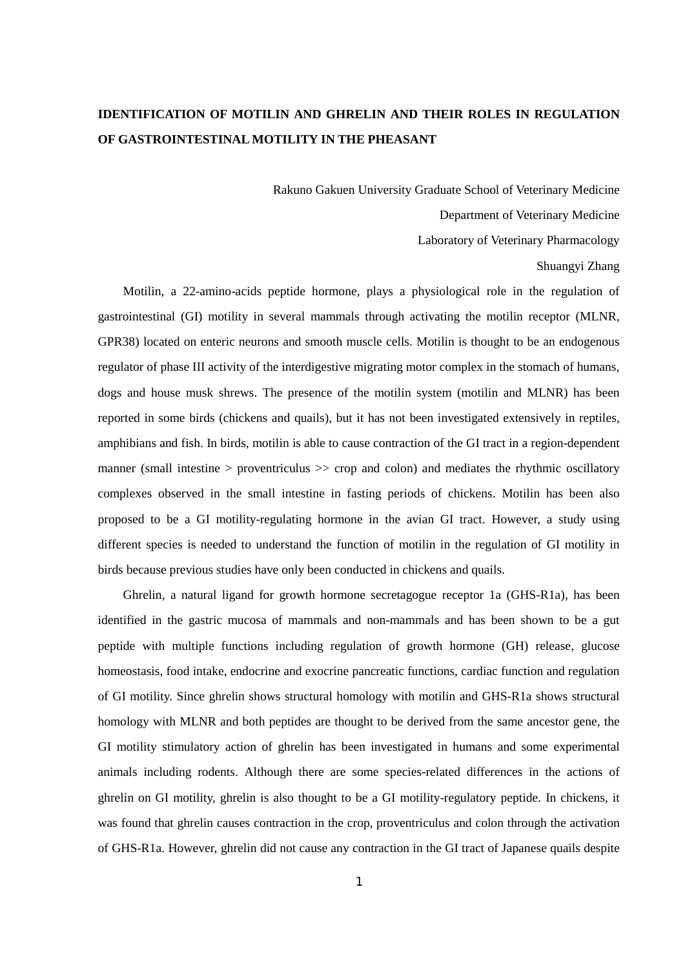## **IDENTIFICATION OF MOTILIN AND GHRELIN AND THEIR ROLES IN REGULATION OF GASTROINTESTINAL MOTILITY IN THE PHEASANT**

Rakuno Gakuen University Graduate School of Veterinary Medicine

Department of Veterinary Medicine

Laboratory of Veterinary Pharmacology

## Shuangyi Zhang

Motilin, a 22-amino-acids peptide hormone, plays a physiological role in the regulation of gastrointestinal (GI) motility in several mammals through activating the motilin receptor (MLNR, GPR38) located on enteric neurons and smooth muscle cells. Motilin is thought to be an endogenous regulator of phase III activity of the interdigestive migrating motor complex in the stomach of humans, dogs and house musk shrews. The presence of the motilin system (motilin and MLNR) has been reported in some birds (chickens and quails), but it has not been investigated extensively in reptiles, amphibians and fish. In birds, motilin is able to cause contraction of the GI tract in a region-dependent manner (small intestine  $>$  proventriculus  $\gg$  crop and colon) and mediates the rhythmic oscillatory complexes observed in the small intestine in fasting periods of chickens. Motilin has been also proposed to be a GI motility-regulating hormone in the avian GI tract. However, a study using different species is needed to understand the function of motilin in the regulation of GI motility in birds because previous studies have only been conducted in chickens and quails.

Ghrelin, a natural ligand for growth hormone secretagogue receptor 1a (GHS-R1a), has been identified in the gastric mucosa of mammals and non-mammals and has been shown to be a gut peptide with multiple functions including regulation of growth hormone (GH) release, glucose homeostasis, food intake, endocrine and exocrine pancreatic functions, cardiac function and regulation of GI motility. Since ghrelin shows structural homology with motilin and GHS-R1a shows structural homology with MLNR and both peptides are thought to be derived from the same ancestor gene, the GI motility stimulatory action of ghrelin has been investigated in humans and some experimental animals including rodents. Although there are some species-related differences in the actions of ghrelin on GI motility, ghrelin is also thought to be a GI motility-regulatory peptide. In chickens, it was found that ghrelin causes contraction in the crop, proventriculus and colon through the activation of GHS-R1a. However, ghrelin did not cause any contraction in the GI tract of Japanese quails despite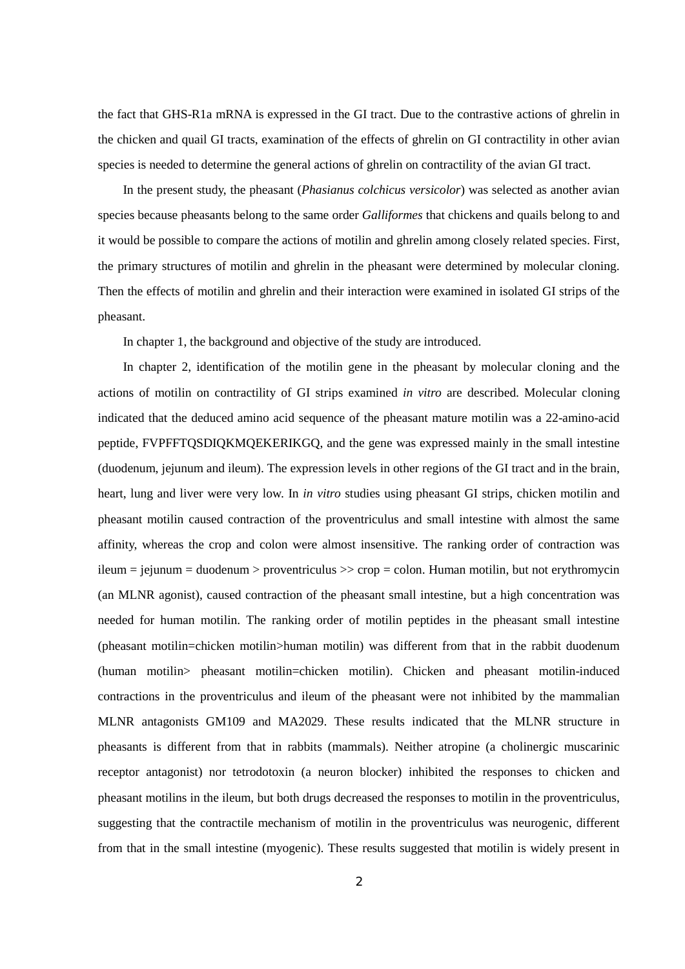the fact that GHS-R1a mRNA is expressed in the GI tract. Due to the contrastive actions of ghrelin in the chicken and quail GI tracts, examination of the effects of ghrelin on GI contractility in other avian species is needed to determine the general actions of ghrelin on contractility of the avian GI tract.

In the present study, the pheasant (*Phasianus colchicus versicolor*) was selected as another avian species because pheasants belong to the same order *Galliformes* that chickens and quails belong to and it would be possible to compare the actions of motilin and ghrelin among closely related species. First, the primary structures of motilin and ghrelin in the pheasant were determined by molecular cloning. Then the effects of motilin and ghrelin and their interaction were examined in isolated GI strips of the pheasant.

In chapter 1, the background and objective of the study are introduced.

In chapter 2, identification of the motilin gene in the pheasant by molecular cloning and the actions of motilin on contractility of GI strips examined *in vitro* are described. Molecular cloning indicated that the deduced amino acid sequence of the pheasant mature motilin was a 22-amino-acid peptide, FVPFFTQSDIQKMQEKERIKGQ, and the gene was expressed mainly in the small intestine (duodenum, jejunum and ileum). The expression levels in other regions of the GI tract and in the brain, heart, lung and liver were very low. In *in vitro* studies using pheasant GI strips, chicken motilin and pheasant motilin caused contraction of the proventriculus and small intestine with almost the same affinity, whereas the crop and colon were almost insensitive. The ranking order of contraction was ileum = jejunum = duodenum > proventriculus >> crop = colon. Human motilin, but not erythromycin (an MLNR agonist), caused contraction of the pheasant small intestine, but a high concentration was needed for human motilin. The ranking order of motilin peptides in the pheasant small intestine (pheasant motilin=chicken motilin>human motilin) was different from that in the rabbit duodenum (human motilin> pheasant motilin=chicken motilin). Chicken and pheasant motilin-induced contractions in the proventriculus and ileum of the pheasant were not inhibited by the mammalian MLNR antagonists GM109 and MA2029. These results indicated that the MLNR structure in pheasants is different from that in rabbits (mammals). Neither atropine (a cholinergic muscarinic receptor antagonist) nor tetrodotoxin (a neuron blocker) inhibited the responses to chicken and pheasant motilins in the ileum, but both drugs decreased the responses to motilin in the proventriculus, suggesting that the contractile mechanism of motilin in the proventriculus was neurogenic, different from that in the small intestine (myogenic). These results suggested that motilin is widely present in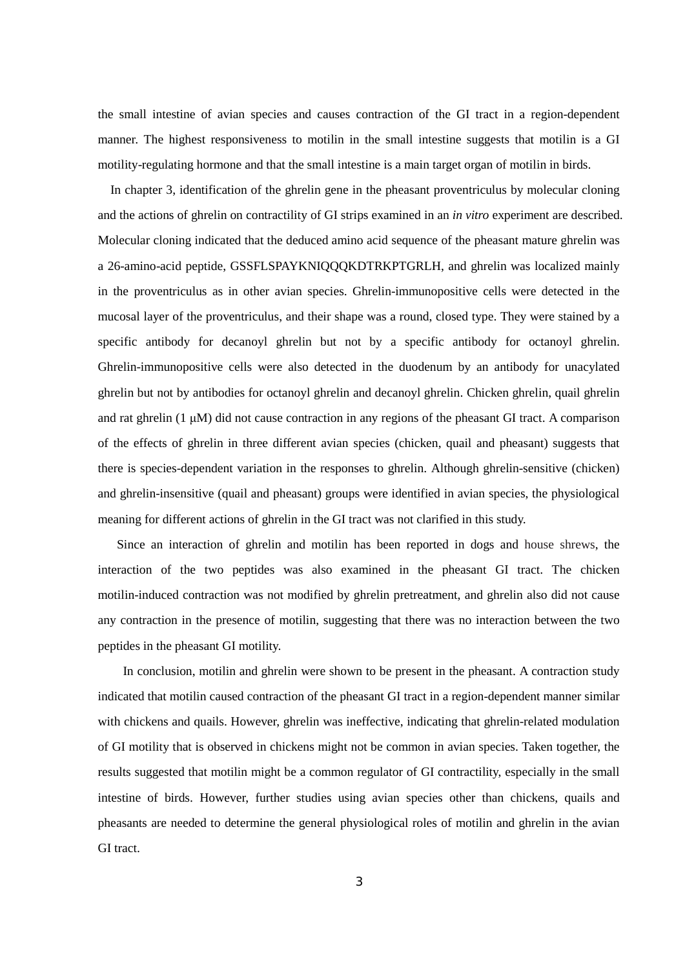the small intestine of avian species and causes contraction of the GI tract in a region-dependent manner. The highest responsiveness to motilin in the small intestine suggests that motilin is a GI motility-regulating hormone and that the small intestine is a main target organ of motilin in birds.

In chapter 3, identification of the ghrelin gene in the pheasant proventriculus by molecular cloning and the actions of ghrelin on contractility of GI strips examined in an *in vitro* experiment are described. Molecular cloning indicated that the deduced amino acid sequence of the pheasant mature ghrelin was a 26-amino-acid peptide, GSSFLSPAYKNIQQQKDTRKPTGRLH, and ghrelin was localized mainly in the proventriculus as in other avian species. Ghrelin-immunopositive cells were detected in the mucosal layer of the proventriculus, and their shape was a round, closed type. They were stained by a specific antibody for decanoyl ghrelin but not by a specific antibody for octanoyl ghrelin. Ghrelin-immunopositive cells were also detected in the duodenum by an antibody for unacylated ghrelin but not by antibodies for octanoyl ghrelin and decanoyl ghrelin. Chicken ghrelin, quail ghrelin and rat ghrelin (1 μM) did not cause contraction in any regions of the pheasant GI tract. A comparison of the effects of ghrelin in three different avian species (chicken, quail and pheasant) suggests that there is species-dependent variation in the responses to ghrelin. Although ghrelin-sensitive (chicken) and ghrelin-insensitive (quail and pheasant) groups were identified in avian species, the physiological meaning for different actions of ghrelin in the GI tract was not clarified in this study.

Since an interaction of ghrelin and motilin has been reported in dogs and house shrews, the interaction of the two peptides was also examined in the pheasant GI tract. The chicken motilin-induced contraction was not modified by ghrelin pretreatment, and ghrelin also did not cause any contraction in the presence of motilin, suggesting that there was no interaction between the two peptides in the pheasant GI motility.

In conclusion, motilin and ghrelin were shown to be present in the pheasant. A contraction study indicated that motilin caused contraction of the pheasant GI tract in a region-dependent manner similar with chickens and quails. However, ghrelin was ineffective, indicating that ghrelin-related modulation of GI motility that is observed in chickens might not be common in avian species. Taken together, the results suggested that motilin might be a common regulator of GI contractility, especially in the small intestine of birds. However, further studies using avian species other than chickens, quails and pheasants are needed to determine the general physiological roles of motilin and ghrelin in the avian GI tract.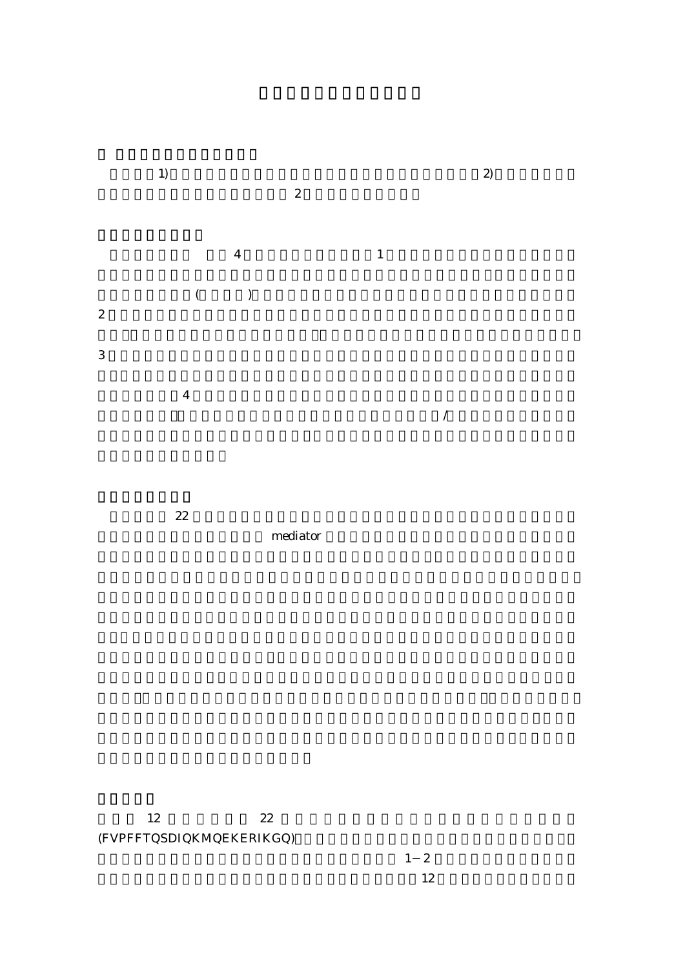

mediator

 $12 \t22$ (FVPFFTQSDIQKMQEKERIKGQ)

 $1\quad2$  $12$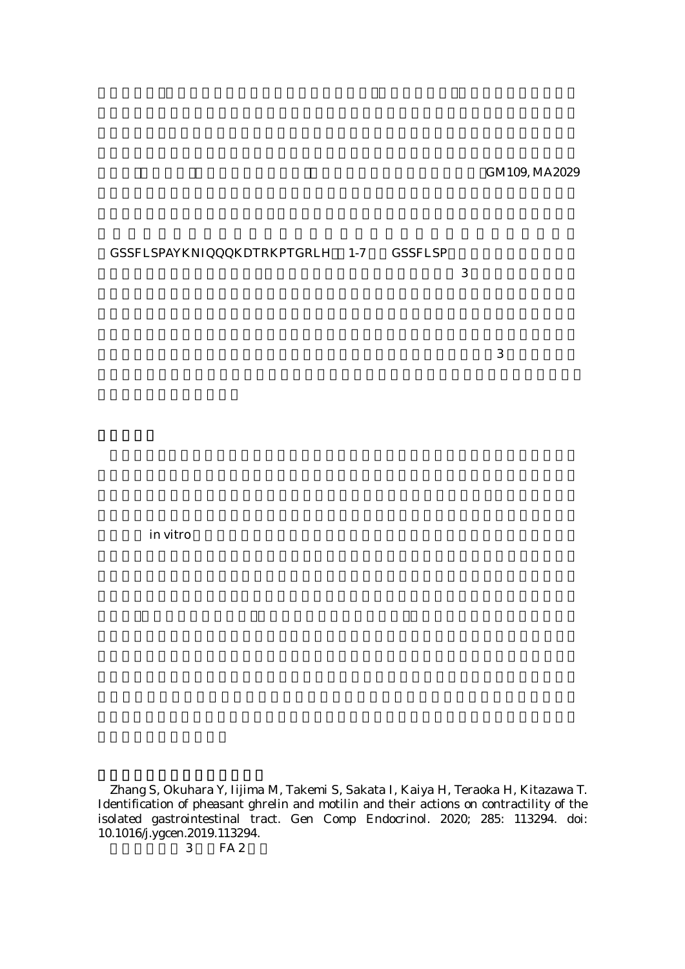GM109, MA2029

## GSSFLSPAYKNIQQQKDTRKPTGRLH 1-7 GSSFLSP

 $3$ 

 $3$ 

**in vitro** example in vitro the view  $\frac{d}{dt}$ 

Zhang S, Okuhara Y, Iijima M, Takemi S, Sakata I, Kaiya H, Teraoka H, Kitazawa T. Identification of pheasant ghrelin and motilin and their actions on contractility of the isolated gastrointestinal tract. Gen Comp Endocrinol. 2020; 285: 113294. doi: 10.1016/j.ygcen.2019.113294.

3 FA 2